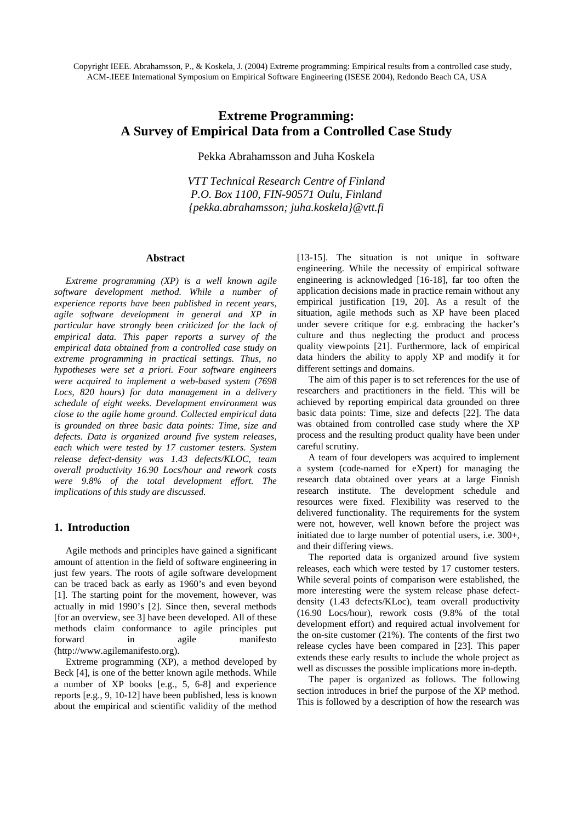# **Extreme Programming: A Survey of Empirical Data from a Controlled Case Study**

Pekka Abrahamsson and Juha Koskela

*VTT Technical Research Centre of Finland P.O. Box 1100, FIN-90571 Oulu, Finland {pekka.abrahamsson; juha.koskela}@vtt.fi* 

#### **Abstract**

*Extreme programming (XP) is a well known agile software development method. While a number of experience reports have been published in recent years, agile software development in general and XP in particular have strongly been criticized for the lack of empirical data. This paper reports a survey of the empirical data obtained from a controlled case study on extreme programming in practical settings. Thus, no hypotheses were set a priori. Four software engineers were acquired to implement a web-based system (7698 Locs, 820 hours) for data management in a delivery schedule of eight weeks. Development environment was close to the agile home ground. Collected empirical data is grounded on three basic data points: Time, size and defects. Data is organized around five system releases, each which were tested by 17 customer testers. System release defect-density was 1.43 defects/KLOC, team overall productivity 16.90 Locs/hour and rework costs were 9.8% of the total development effort. The implications of this study are discussed.* 

# **1. Introduction**

Agile methods and principles have gained a significant amount of attention in the field of software engineering in just few years. The roots of agile software development can be traced back as early as 1960's and even beyond [1]. The starting point for the movement, however, was actually in mid 1990's [2]. Since then, several methods [for an overview, see 3] have been developed. All of these methods claim conformance to agile principles put forward in agile manifesto (http://www.agilemanifesto.org).

Extreme programming (XP), a method developed by Beck [4], is one of the better known agile methods. While a number of XP books [e.g., 5, 6-8] and experience reports [e.g., 9, 10-12] have been published, less is known about the empirical and scientific validity of the method [13-15]. The situation is not unique in software engineering. While the necessity of empirical software engineering is acknowledged [16-18], far too often the application decisions made in practice remain without any empirical justification [19, 20]. As a result of the situation, agile methods such as XP have been placed under severe critique for e.g. embracing the hacker's culture and thus neglecting the product and process quality viewpoints [21]. Furthermore, lack of empirical data hinders the ability to apply XP and modify it for different settings and domains.

The aim of this paper is to set references for the use of researchers and practitioners in the field. This will be achieved by reporting empirical data grounded on three basic data points: Time, size and defects [22]. The data was obtained from controlled case study where the XP process and the resulting product quality have been under careful scrutiny.

A team of four developers was acquired to implement a system (code-named for eXpert) for managing the research data obtained over years at a large Finnish research institute. The development schedule and resources were fixed. Flexibility was reserved to the delivered functionality. The requirements for the system were not, however, well known before the project was initiated due to large number of potential users, i.e. 300+, and their differing views.

The reported data is organized around five system releases, each which were tested by 17 customer testers. While several points of comparison were established, the more interesting were the system release phase defectdensity (1.43 defects/KLoc), team overall productivity (16.90 Locs/hour), rework costs (9.8% of the total development effort) and required actual involvement for the on-site customer (21%). The contents of the first two release cycles have been compared in [23]. This paper extends these early results to include the whole project as well as discusses the possible implications more in-depth.

The paper is organized as follows. The following section introduces in brief the purpose of the XP method. This is followed by a description of how the research was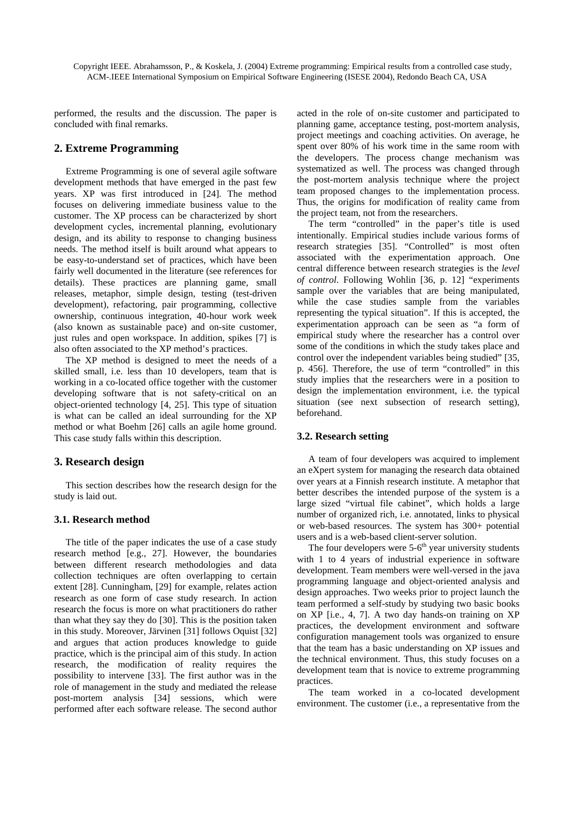performed, the results and the discussion. The paper is concluded with final remarks.

## **2. Extreme Programming**

Extreme Programming is one of several agile software development methods that have emerged in the past few years. XP was first introduced in [24]. The method focuses on delivering immediate business value to the customer. The XP process can be characterized by short development cycles, incremental planning, evolutionary design, and its ability to response to changing business needs. The method itself is built around what appears to be easy-to-understand set of practices, which have been fairly well documented in the literature (see references for details). These practices are planning game, small releases, metaphor, simple design, testing (test-driven development), refactoring, pair programming, collective ownership, continuous integration, 40-hour work week (also known as sustainable pace) and on-site customer, just rules and open workspace. In addition, spikes [7] is also often associated to the XP method's practices.

The XP method is designed to meet the needs of a skilled small, i.e. less than 10 developers, team that is working in a co-located office together with the customer developing software that is not safety-critical on an object-oriented technology [4, 25]. This type of situation is what can be called an ideal surrounding for the XP method or what Boehm [26] calls an agile home ground. This case study falls within this description.

#### **3. Research design**

This section describes how the research design for the study is laid out.

#### **3.1. Research method**

The title of the paper indicates the use of a case study research method [e.g., 27]. However, the boundaries between different research methodologies and data collection techniques are often overlapping to certain extent [28]. Cunningham, [29] for example, relates action research as one form of case study research. In action research the focus is more on what practitioners do rather than what they say they do [30]. This is the position taken in this study. Moreover, Järvinen [31] follows Oquist [32] and argues that action produces knowledge to guide practice, which is the principal aim of this study. In action research, the modification of reality requires the possibility to intervene [33]. The first author was in the role of management in the study and mediated the release post-mortem analysis [34] sessions, which were performed after each software release. The second author acted in the role of on-site customer and participated to planning game, acceptance testing, post-mortem analysis, project meetings and coaching activities. On average, he spent over 80% of his work time in the same room with the developers. The process change mechanism was systematized as well. The process was changed through the post-mortem analysis technique where the project team proposed changes to the implementation process. Thus, the origins for modification of reality came from the project team, not from the researchers.

The term "controlled" in the paper's title is used intentionally. Empirical studies include various forms of research strategies [35]. "Controlled" is most often associated with the experimentation approach. One central difference between research strategies is the *level of control*. Following Wohlin [36, p. 12] "experiments sample over the variables that are being manipulated, while the case studies sample from the variables representing the typical situation". If this is accepted, the experimentation approach can be seen as "a form of empirical study where the researcher has a control over some of the conditions in which the study takes place and control over the independent variables being studied" [35, p. 456]. Therefore, the use of term "controlled" in this study implies that the researchers were in a position to design the implementation environment, i.e. the typical situation (see next subsection of research setting), beforehand.

#### **3.2. Research setting**

A team of four developers was acquired to implement an eXpert system for managing the research data obtained over years at a Finnish research institute. A metaphor that better describes the intended purpose of the system is a large sized "virtual file cabinet", which holds a large number of organized rich, i.e. annotated, links to physical or web-based resources. The system has 300+ potential users and is a web-based client-server solution.

The four developers were  $5-6<sup>th</sup>$  year university students with 1 to 4 years of industrial experience in software development. Team members were well-versed in the java programming language and object-oriented analysis and design approaches. Two weeks prior to project launch the team performed a self-study by studying two basic books on XP [i.e., 4, 7]. A two day hands-on training on XP practices, the development environment and software configuration management tools was organized to ensure that the team has a basic understanding on XP issues and the technical environment. Thus, this study focuses on a development team that is novice to extreme programming practices.

The team worked in a co-located development environment. The customer (i.e., a representative from the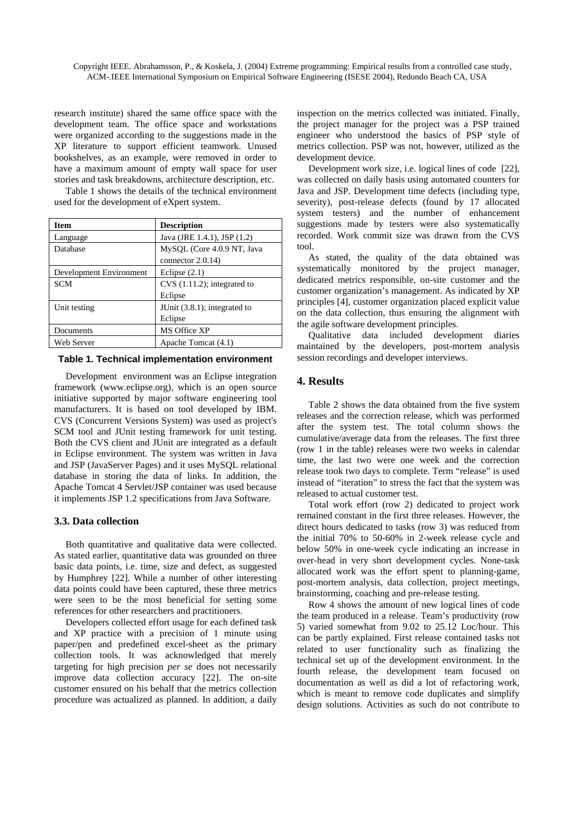research institute) shared the same office space with the development team. The office space and workstations were organized according to the suggestions made in the XP literature to support efficient teamwork. Unused bookshelves, as an example, were removed in order to have a maximum amount of empty wall space for user stories and task breakdowns, architecture description, etc.

Table 1 shows the details of the technical environment used for the development of eXpert system.

| <b>Item</b>             | <b>Description</b>              |
|-------------------------|---------------------------------|
| Language                | Java (JRE 1.4.1), JSP (1.2)     |
| Database                | MySQL (Core 4.0.9 NT, Java      |
|                         | connector $2.0.14$ )            |
| Development Environment | Eclipse $(2.1)$                 |
| <b>SCM</b>              | $CVS(1.11.2)$ ; integrated to   |
|                         | Eclipse                         |
| Unit testing            | JUnit $(3.8.1)$ ; integrated to |
|                         | Eclipse                         |
| Documents               | MS Office XP                    |
| Web Server              | Apache Tomcat (4.1)             |

#### **Table 1. Technical implementation environment**

Development environment was an Eclipse integration framework (www.eclipse.org), which is an open source initiative supported by major software engineering tool manufacturers. It is based on tool developed by IBM. CVS (Concurrent Versions System) was used as project's SCM tool and JUnit testing framework for unit testing. Both the CVS client and JUnit are integrated as a default in Eclipse environment. The system was written in Java and JSP (JavaServer Pages) and it uses MySQL relational database in storing the data of links. In addition, the Apache Tomcat 4 Servlet/JSP container was used because it implements JSP 1.2 specifications from Java Software.

#### **3.3. Data collection**

Both quantitative and qualitative data were collected. As stated earlier, quantitative data was grounded on three basic data points, i.e. time, size and defect, as suggested by Humphrey [22]. While a number of other interesting data points could have been captured, these three metrics were seen to be the most beneficial for setting some references for other researchers and practitioners.

Developers collected effort usage for each defined task and XP practice with a precision of 1 minute using paper/pen and predefined excel-sheet as the primary collection tools. It was acknowledged that merely targeting for high precision *per se* does not necessarily improve data collection accuracy [22]. The on-site customer ensured on his behalf that the metrics collection procedure was actualized as planned. In addition, a daily inspection on the metrics collected was initiated. Finally, the project manager for the project was a PSP trained engineer who understood the basics of PSP style of metrics collection. PSP was not, however, utilized as the development device.

Development work size, i.e. logical lines of code [22], was collected on daily basis using automated counters for Java and JSP. Development time defects (including type, severity), post-release defects (found by 17 allocated system testers) and the number of enhancement suggestions made by testers were also systematically recorded. Work commit size was drawn from the CVS tool.

As stated, the quality of the data obtained was systematically monitored by the project manager, dedicated metrics responsible, on-site customer and the customer organization's management. As indicated by XP principles [4], customer organization placed explicit value on the data collection, thus ensuring the alignment with the agile software development principles.

Qualitative data included development diaries maintained by the developers, post-mortem analysis session recordings and developer interviews.

# **4. Results**

Table 2 shows the data obtained from the five system releases and the correction release, which was performed after the system test. The total column shows the cumulative/average data from the releases. The first three (row 1 in the table) releases were two weeks in calendar time, the last two were one week and the correction release took two days to complete. Term "release" is used instead of "iteration" to stress the fact that the system was released to actual customer test.

Total work effort (row 2) dedicated to project work remained constant in the first three releases. However, the direct hours dedicated to tasks (row 3) was reduced from the initial 70% to 50-60% in 2-week release cycle and below 50% in one-week cycle indicating an increase in over-head in very short development cycles. None-task allocated work was the effort spent to planning-game, post-mortem analysis, data collection, project meetings, brainstorming, coaching and pre-release testing.

Row 4 shows the amount of new logical lines of code the team produced in a release. Team's productivity (row 5) varied somewhat from 9.02 to 25.12 Loc/hour. This can be partly explained. First release contained tasks not related to user functionality such as finalizing the technical set up of the development environment. In the fourth release, the development team focused on documentation as well as did a lot of refactoring work, which is meant to remove code duplicates and simplify design solutions. Activities as such do not contribute to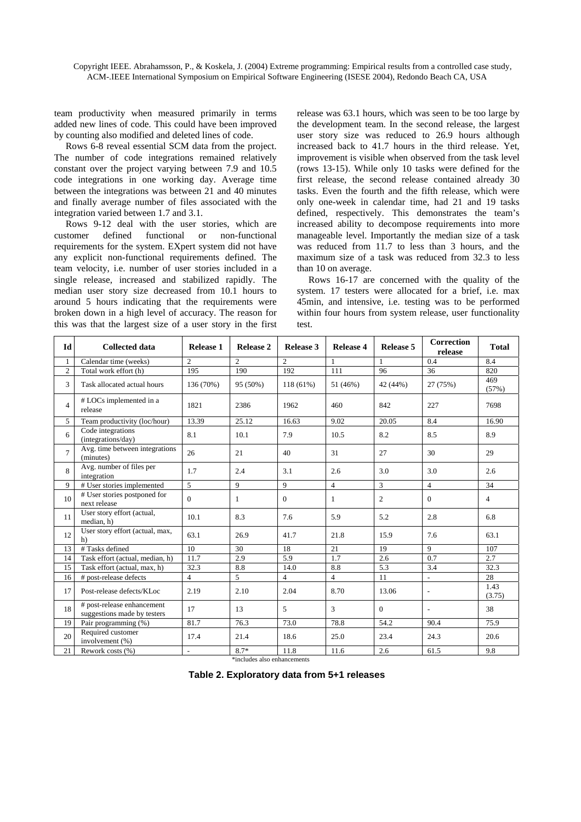team productivity when measured primarily in terms added new lines of code. This could have been improved by counting also modified and deleted lines of code.

Rows 6-8 reveal essential SCM data from the project. The number of code integrations remained relatively constant over the project varying between 7.9 and 10.5 code integrations in one working day. Average time between the integrations was between 21 and 40 minutes and finally average number of files associated with the integration varied between 1.7 and 3.1.

Rows 9-12 deal with the user stories, which are customer defined functional or non-functional requirements for the system. EXpert system did not have any explicit non-functional requirements defined. The team velocity, i.e. number of user stories included in a single release, increased and stabilized rapidly. The median user story size decreased from 10.1 hours to around 5 hours indicating that the requirements were broken down in a high level of accuracy. The reason for this was that the largest size of a user story in the first release was 63.1 hours, which was seen to be too large by the development team. In the second release, the largest user story size was reduced to 26.9 hours although increased back to 41.7 hours in the third release. Yet, improvement is visible when observed from the task level (rows 13-15). While only 10 tasks were defined for the first release, the second release contained already 30 tasks. Even the fourth and the fifth release, which were only one-week in calendar time, had 21 and 19 tasks defined, respectively. This demonstrates the team's increased ability to decompose requirements into more manageable level. Importantly the median size of a task was reduced from 11.7 to less than 3 hours, and the maximum size of a task was reduced from 32.3 to less than 10 on average.

Rows 16-17 are concerned with the quality of the system. 17 testers were allocated for a brief, i.e. max 45min, and intensive, i.e. testing was to be performed within four hours from system release, user functionality test.

| $Id$           | <b>Collected data</b>                                     | <b>Release 1</b>         | <b>Release 2</b> | <b>Release 3</b> | <b>Release 4</b> | Release 5      | <b>Correction</b><br>release | <b>Total</b>   |
|----------------|-----------------------------------------------------------|--------------------------|------------------|------------------|------------------|----------------|------------------------------|----------------|
| $\mathbf{1}$   | Calendar time (weeks)                                     | $\overline{2}$           | $\overline{2}$   | $\overline{2}$   | $\mathbf{1}$     | 1              | 0.4                          | 8.4            |
| $\overline{c}$ | Total work effort (h)                                     | 195                      | 190              | 192              | 111              | 96             | 36                           | 820            |
| 3              | Task allocated actual hours                               | 136 (70%)                | 95 (50%)         | $118(61\%)$      | 51 (46%)         | 42 (44%)       | 27 (75%)                     | 469<br>(57%)   |
| $\overline{4}$ | # LOCs implemented in a<br>release                        | 1821                     | 2386             | 1962             | 460              | 842            | 227                          | 7698           |
| 5              | Team productivity (loc/hour)                              | 13.39                    | 25.12            | 16.63            | 9.02             | 20.05          | 8.4                          | 16.90          |
| 6              | Code integrations<br>(integrations/day)                   | 8.1                      | 10.1             | 7.9              | 10.5             | 8.2            | 8.5                          | 8.9            |
| $\overline{7}$ | Avg. time between integrations<br>(minutes)               | 26                       | 21               | 40               | 31               | 27             | 30                           | 29             |
| 8              | Avg. number of files per<br>integration                   | 1.7                      | 2.4              | 3.1              | 2.6              | 3.0            | 3.0                          | 2.6            |
| 9              | # User stories implemented                                | 5                        | $\mathbf{Q}$     | 9                | $\overline{4}$   | 3              | $\overline{4}$               | 34             |
| 10             | # User stories postponed for<br>next release              | $\Omega$                 | 1                | $\overline{0}$   | 1                | $\overline{c}$ | $\overline{0}$               | $\overline{4}$ |
| 11             | User story effort (actual,<br>median, h)                  | 10.1                     | 8.3              | 7.6              | 5.9              | 5.2            | 2.8                          | 6.8            |
| 12             | User story effort (actual, max,<br>h)                     | 63.1                     | 26.9             | 41.7             | 21.8             | 15.9           | 7.6                          | 63.1           |
| 13             | # Tasks defined                                           | 10                       | 30               | 18               | 21               | 19             | $\mathbf Q$                  | 107            |
| 14             | Task effort (actual, median, h)                           | 11.7                     | 2.9              | 5.9              | 1.7              | 2.6            | 0.7                          | 2.7            |
| 15             | Task effort (actual, max, h)                              | 32.3                     | 8.8              | 14.0             | 8.8              | 5.3            | 3.4                          | 32.3           |
| 16             | # post-release defects                                    | $\overline{4}$           | 5                | $\overline{4}$   | $\overline{4}$   | 11             | $\overline{\phantom{a}}$     | 28             |
| 17             | Post-release defects/KLoc                                 | 2.19                     | 2.10             | 2.04             | 8.70             | 13.06          | $\overline{\phantom{a}}$     | 1.43<br>(3.75) |
| 18             | # post-release enhancement<br>suggestions made by testers | 17                       | 13               | 5                | 3                | $\Omega$       | $\overline{\phantom{a}}$     | 38             |
| 19             | Pair programming (%)                                      | 81.7                     | 76.3             | 73.0             | 78.8             | 54.2           | 90.4                         | 75.9           |
| 20             | Required customer<br>involvement (%)                      | 17.4                     | 21.4             | 18.6             | 25.0             | 23.4           | 24.3                         | 20.6           |
| 21             | Rework costs (%)                                          | $\overline{\phantom{a}}$ | 8.7*             | 11.8             | 11.6             | 2.6            | 61.5                         | 9.8            |

\*includes also enhancements

**Table 2. Exploratory data from 5+1 releases**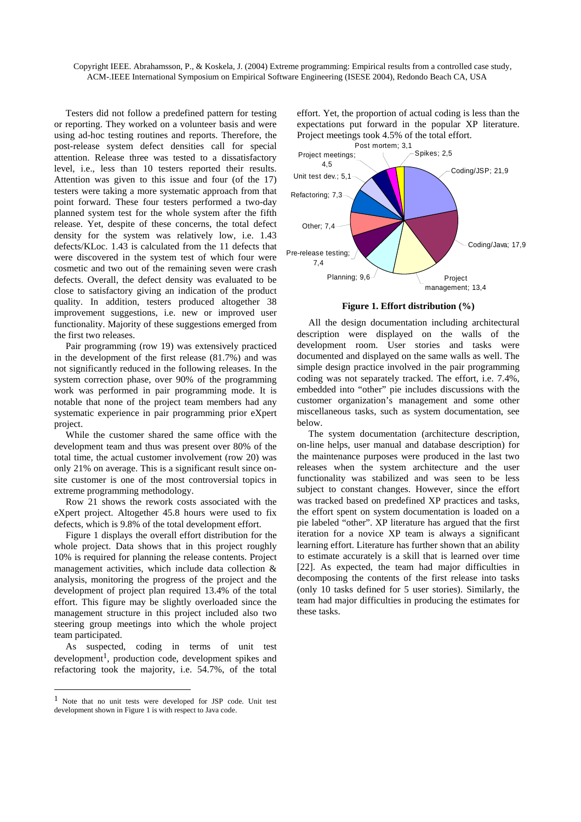Testers did not follow a predefined pattern for testing or reporting. They worked on a volunteer basis and were using ad-hoc testing routines and reports. Therefore, the post-release system defect densities call for special attention. Release three was tested to a dissatisfactory level, i.e., less than 10 testers reported their results. Attention was given to this issue and four (of the 17) testers were taking a more systematic approach from that point forward. These four testers performed a two-day planned system test for the whole system after the fifth release. Yet, despite of these concerns, the total defect density for the system was relatively low, i.e. 1.43 defects/KLoc. 1.43 is calculated from the 11 defects that were discovered in the system test of which four were cosmetic and two out of the remaining seven were crash defects. Overall, the defect density was evaluated to be close to satisfactory giving an indication of the product quality. In addition, testers produced altogether 38 improvement suggestions, i.e. new or improved user functionality. Majority of these suggestions emerged from the first two releases.

Pair programming (row 19) was extensively practiced in the development of the first release (81.7%) and was not significantly reduced in the following releases. In the system correction phase, over 90% of the programming work was performed in pair programming mode. It is notable that none of the project team members had any systematic experience in pair programming prior eXpert project.

While the customer shared the same office with the development team and thus was present over 80% of the total time, the actual customer involvement (row 20) was only 21% on average. This is a significant result since onsite customer is one of the most controversial topics in extreme programming methodology.

Row 21 shows the rework costs associated with the eXpert project. Altogether 45.8 hours were used to fix defects, which is 9.8% of the total development effort.

Figure 1 displays the overall effort distribution for the whole project. Data shows that in this project roughly 10% is required for planning the release contents. Project management activities, which include data collection & analysis, monitoring the progress of the project and the development of project plan required 13.4% of the total effort. This figure may be slightly overloaded since the management structure in this project included also two steering group meetings into which the whole project team participated.

As suspected, coding in terms of unit test  $development<sup>1</sup>$ , production code, development spikes and refactoring took the majority, i.e. 54.7%, of the total

 $\overline{a}$ 

effort. Yet, the proportion of actual coding is less than the expectations put forward in the popular XP literature. Project meetings took 4.5% of the total effort.



**Figure 1. Effort distribution (%)** 

All the design documentation including architectural description were displayed on the walls of the development room. User stories and tasks were documented and displayed on the same walls as well. The simple design practice involved in the pair programming coding was not separately tracked. The effort, i.e. 7.4%, embedded into "other" pie includes discussions with the customer organization's management and some other miscellaneous tasks, such as system documentation, see below.

The system documentation (architecture description, on-line helps, user manual and database description) for the maintenance purposes were produced in the last two releases when the system architecture and the user functionality was stabilized and was seen to be less subject to constant changes. However, since the effort was tracked based on predefined XP practices and tasks, the effort spent on system documentation is loaded on a pie labeled "other". XP literature has argued that the first iteration for a novice XP team is always a significant learning effort. Literature has further shown that an ability to estimate accurately is a skill that is learned over time [22]. As expected, the team had major difficulties in decomposing the contents of the first release into tasks (only 10 tasks defined for 5 user stories). Similarly, the team had major difficulties in producing the estimates for these tasks.

<sup>1</sup> Note that no unit tests were developed for JSP code. Unit test development shown in Figure 1 is with respect to Java code.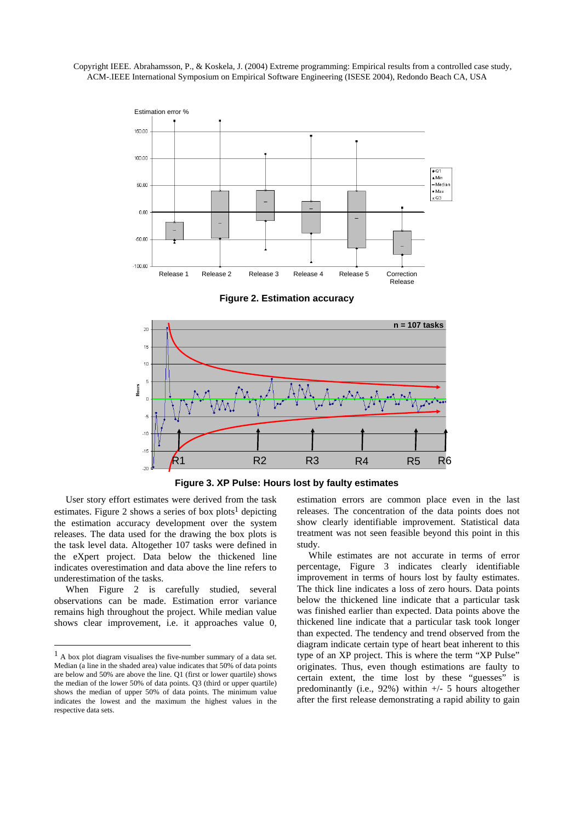

**Figure 2. Estimation accuracy**



**Figure 3. XP Pulse: Hours lost by faulty estimates** 

User story effort estimates were derived from the task estimates. Figure 2 shows a series of box plots<sup>1</sup> depicting the estimation accuracy development over the system releases. The data used for the drawing the box plots is the task level data. Altogether 107 tasks were defined in the eXpert project. Data below the thickened line indicates overestimation and data above the line refers to underestimation of the tasks.

When Figure 2 is carefully studied, several observations can be made. Estimation error variance remains high throughout the project. While median value shows clear improvement, i.e. it approaches value 0,

1

estimation errors are common place even in the last releases. The concentration of the data points does not show clearly identifiable improvement. Statistical data treatment was not seen feasible beyond this point in this study.

While estimates are not accurate in terms of error percentage, Figure 3 indicates clearly identifiable improvement in terms of hours lost by faulty estimates. The thick line indicates a loss of zero hours. Data points below the thickened line indicate that a particular task was finished earlier than expected. Data points above the thickened line indicate that a particular task took longer than expected. The tendency and trend observed from the diagram indicate certain type of heart beat inherent to this type of an XP project. This is where the term "XP Pulse" originates. Thus, even though estimations are faulty to certain extent, the time lost by these "guesses" is predominantly (i.e., 92%) within +/- 5 hours altogether after the first release demonstrating a rapid ability to gain

 $^{\rm 1}$  A box plot diagram visualises the five-number summary of a data set. Median (a line in the shaded area) value indicates that 50% of data points are below and 50% are above the line. Q1 (first or lower quartile) shows the median of the lower 50% of data points. Q3 (third or upper quartile) shows the median of upper 50% of data points. The minimum value indicates the lowest and the maximum the highest values in the respective data sets.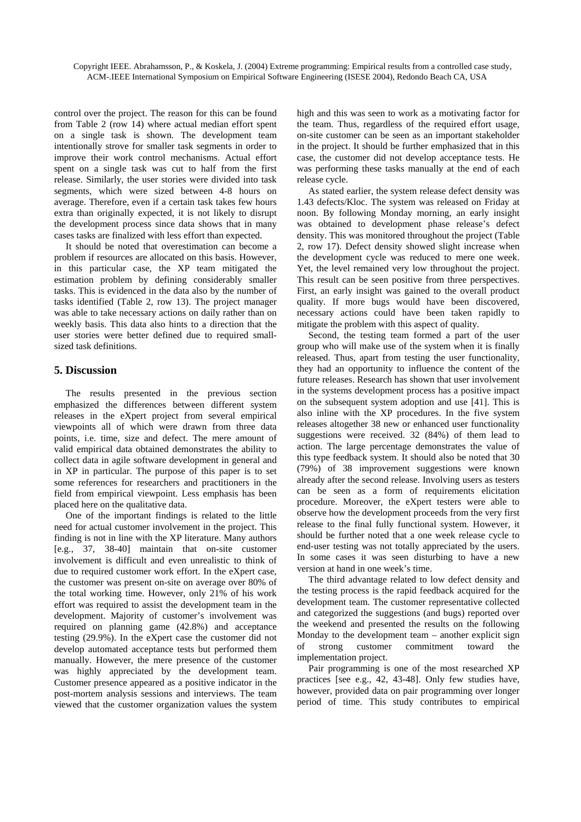control over the project. The reason for this can be found from Table 2 (row 14) where actual median effort spent on a single task is shown. The development team intentionally strove for smaller task segments in order to improve their work control mechanisms. Actual effort spent on a single task was cut to half from the first release. Similarly, the user stories were divided into task segments, which were sized between 4-8 hours on average. Therefore, even if a certain task takes few hours extra than originally expected, it is not likely to disrupt the development process since data shows that in many cases tasks are finalized with less effort than expected.

It should be noted that overestimation can become a problem if resources are allocated on this basis. However, in this particular case, the XP team mitigated the estimation problem by defining considerably smaller tasks. This is evidenced in the data also by the number of tasks identified (Table 2, row 13). The project manager was able to take necessary actions on daily rather than on weekly basis. This data also hints to a direction that the user stories were better defined due to required smallsized task definitions.

# **5. Discussion**

The results presented in the previous section emphasized the differences between different system releases in the eXpert project from several empirical viewpoints all of which were drawn from three data points, i.e. time, size and defect. The mere amount of valid empirical data obtained demonstrates the ability to collect data in agile software development in general and in XP in particular. The purpose of this paper is to set some references for researchers and practitioners in the field from empirical viewpoint. Less emphasis has been placed here on the qualitative data.

One of the important findings is related to the little need for actual customer involvement in the project. This finding is not in line with the XP literature. Many authors [e.g., 37, 38-40] maintain that on-site customer involvement is difficult and even unrealistic to think of due to required customer work effort. In the eXpert case, the customer was present on-site on average over 80% of the total working time. However, only 21% of his work effort was required to assist the development team in the development. Majority of customer's involvement was required on planning game (42.8%) and acceptance testing (29.9%). In the eXpert case the customer did not develop automated acceptance tests but performed them manually. However, the mere presence of the customer was highly appreciated by the development team. Customer presence appeared as a positive indicator in the post-mortem analysis sessions and interviews. The team viewed that the customer organization values the system high and this was seen to work as a motivating factor for the team. Thus, regardless of the required effort usage, on-site customer can be seen as an important stakeholder in the project. It should be further emphasized that in this case, the customer did not develop acceptance tests. He was performing these tasks manually at the end of each release cycle.

As stated earlier, the system release defect density was 1.43 defects/Kloc. The system was released on Friday at noon. By following Monday morning, an early insight was obtained to development phase release's defect density. This was monitored throughout the project (Table 2, row 17). Defect density showed slight increase when the development cycle was reduced to mere one week. Yet, the level remained very low throughout the project. This result can be seen positive from three perspectives. First, an early insight was gained to the overall product quality. If more bugs would have been discovered, necessary actions could have been taken rapidly to mitigate the problem with this aspect of quality.

Second, the testing team formed a part of the user group who will make use of the system when it is finally released. Thus, apart from testing the user functionality, they had an opportunity to influence the content of the future releases. Research has shown that user involvement in the systems development process has a positive impact on the subsequent system adoption and use [41]. This is also inline with the XP procedures. In the five system releases altogether 38 new or enhanced user functionality suggestions were received. 32 (84%) of them lead to action. The large percentage demonstrates the value of this type feedback system. It should also be noted that 30 (79%) of 38 improvement suggestions were known already after the second release. Involving users as testers can be seen as a form of requirements elicitation procedure. Moreover, the eXpert testers were able to observe how the development proceeds from the very first release to the final fully functional system. However, it should be further noted that a one week release cycle to end-user testing was not totally appreciated by the users. In some cases it was seen disturbing to have a new version at hand in one week's time.

The third advantage related to low defect density and the testing process is the rapid feedback acquired for the development team. The customer representative collected and categorized the suggestions (and bugs) reported over the weekend and presented the results on the following Monday to the development team – another explicit sign of strong customer commitment toward the implementation project.

Pair programming is one of the most researched XP practices [see e.g., 42, 43-48]. Only few studies have, however, provided data on pair programming over longer period of time. This study contributes to empirical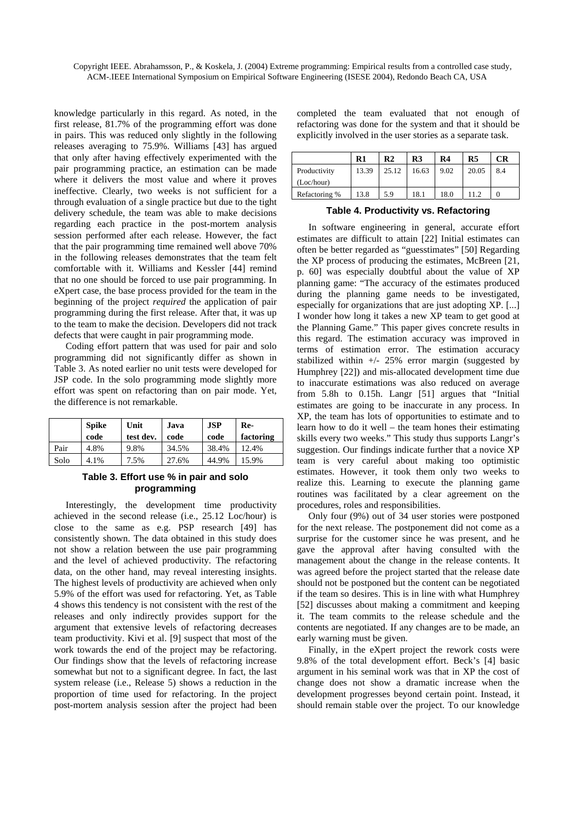knowledge particularly in this regard. As noted, in the first release, 81.7% of the programming effort was done in pairs. This was reduced only slightly in the following releases averaging to 75.9%. Williams [43] has argued that only after having effectively experimented with the pair programming practice, an estimation can be made where it delivers the most value and where it proves ineffective. Clearly, two weeks is not sufficient for a through evaluation of a single practice but due to the tight delivery schedule, the team was able to make decisions regarding each practice in the post-mortem analysis session performed after each release. However, the fact that the pair programming time remained well above 70% in the following releases demonstrates that the team felt comfortable with it. Williams and Kessler [44] remind that no one should be forced to use pair programming. In eXpert case, the base process provided for the team in the beginning of the project *required* the application of pair programming during the first release. After that, it was up to the team to make the decision. Developers did not track defects that were caught in pair programming mode.

Coding effort pattern that was used for pair and solo programming did not significantly differ as shown in Table 3. As noted earlier no unit tests were developed for JSP code. In the solo programming mode slightly more effort was spent on refactoring than on pair mode. Yet, the difference is not remarkable.

|      | <b>Spike</b><br>code | Unit<br>test dev. | Java<br>code | <b>JSP</b><br>code | Re-<br>factoring |
|------|----------------------|-------------------|--------------|--------------------|------------------|
| Pair | 4.8%                 | 9.8%              | 34.5%        | 38.4%              | 12.4%            |
| Solo | 4.1%                 | 7.5%              | 27.6%        | 44.9%              | 15.9%            |

# **Table 3. Effort use % in pair and solo programming**

Interestingly, the development time productivity achieved in the second release (i.e., 25.12 Loc/hour) is close to the same as e.g. PSP research [49] has consistently shown. The data obtained in this study does not show a relation between the use pair programming and the level of achieved productivity. The refactoring data, on the other hand, may reveal interesting insights. The highest levels of productivity are achieved when only 5.9% of the effort was used for refactoring. Yet, as Table 4 shows this tendency is not consistent with the rest of the releases and only indirectly provides support for the argument that extensive levels of refactoring decreases team productivity. Kivi et al. [9] suspect that most of the work towards the end of the project may be refactoring. Our findings show that the levels of refactoring increase somewhat but not to a significant degree. In fact, the last system release (i.e., Release 5) shows a reduction in the proportion of time used for refactoring. In the project post-mortem analysis session after the project had been completed the team evaluated that not enough of refactoring was done for the system and that it should be explicitly involved in the user stories as a separate task.

|               | $\mathbf{R}1$ | R <sub>2</sub> | R <sub>3</sub> | R4   | R <sub>5</sub> | CR  |
|---------------|---------------|----------------|----------------|------|----------------|-----|
| Productivity  | 13.39         | 25.12          | 16.63          | 9.02 | 20.05          | 8.4 |
| (Loc/hour)    |               |                |                |      |                |     |
| Refactoring % | 13.8          | 5.9            | 18.1           | 18.0 |                |     |

**Table 4. Productivity vs. Refactoring** 

In software engineering in general, accurate effort estimates are difficult to attain [22] Initial estimates can often be better regarded as "guesstimates" [50] Regarding the XP process of producing the estimates, McBreen [21, p. 60] was especially doubtful about the value of XP planning game: "The accuracy of the estimates produced during the planning game needs to be investigated, especially for organizations that are just adopting XP. [...] I wonder how long it takes a new XP team to get good at the Planning Game." This paper gives concrete results in this regard. The estimation accuracy was improved in terms of estimation error. The estimation accuracy stabilized within  $+/- 25\%$  error margin (suggested by Humphrey [22]) and mis-allocated development time due to inaccurate estimations was also reduced on average from 5.8h to 0.15h. Langr [51] argues that "Initial estimates are going to be inaccurate in any process. In XP, the team has lots of opportunities to estimate and to learn how to do it well – the team hones their estimating skills every two weeks." This study thus supports Langr's suggestion. Our findings indicate further that a novice XP team is very careful about making too optimistic estimates. However, it took them only two weeks to realize this. Learning to execute the planning game routines was facilitated by a clear agreement on the procedures, roles and responsibilities.

Only four (9%) out of 34 user stories were postponed for the next release. The postponement did not come as a surprise for the customer since he was present, and he gave the approval after having consulted with the management about the change in the release contents. It was agreed before the project started that the release date should not be postponed but the content can be negotiated if the team so desires. This is in line with what Humphrey [52] discusses about making a commitment and keeping it. The team commits to the release schedule and the contents are negotiated. If any changes are to be made, an early warning must be given.

Finally, in the eXpert project the rework costs were 9.8% of the total development effort. Beck's [4] basic argument in his seminal work was that in XP the cost of change does not show a dramatic increase when the development progresses beyond certain point. Instead, it should remain stable over the project. To our knowledge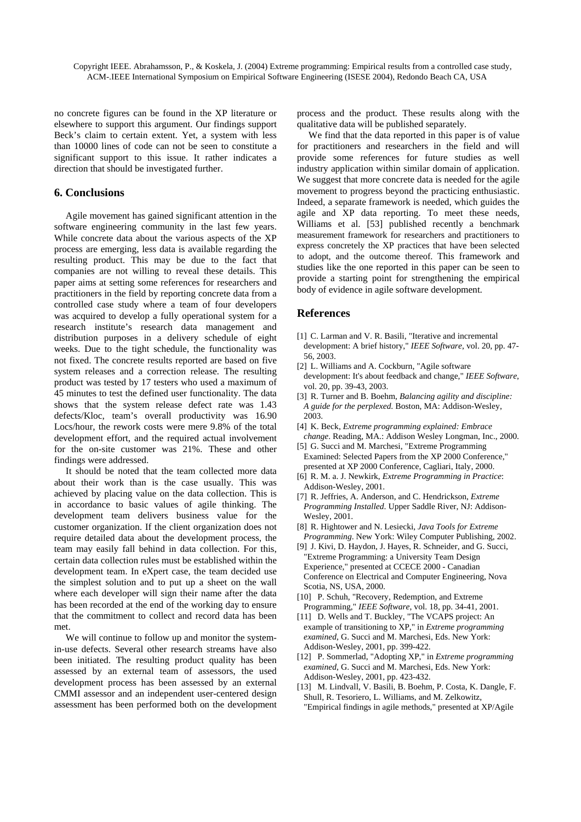no concrete figures can be found in the XP literature or elsewhere to support this argument. Our findings support Beck's claim to certain extent. Yet, a system with less than 10000 lines of code can not be seen to constitute a significant support to this issue. It rather indicates a direction that should be investigated further.

### **6. Conclusions**

Agile movement has gained significant attention in the software engineering community in the last few years. While concrete data about the various aspects of the XP process are emerging, less data is available regarding the resulting product. This may be due to the fact that companies are not willing to reveal these details. This paper aims at setting some references for researchers and practitioners in the field by reporting concrete data from a controlled case study where a team of four developers was acquired to develop a fully operational system for a research institute's research data management and distribution purposes in a delivery schedule of eight weeks. Due to the tight schedule, the functionality was not fixed. The concrete results reported are based on five system releases and a correction release. The resulting product was tested by 17 testers who used a maximum of 45 minutes to test the defined user functionality. The data shows that the system release defect rate was 1.43 defects/Kloc, team's overall productivity was 16.90 Locs/hour, the rework costs were mere 9.8% of the total development effort, and the required actual involvement for the on-site customer was 21%. These and other findings were addressed.

It should be noted that the team collected more data about their work than is the case usually. This was achieved by placing value on the data collection. This is in accordance to basic values of agile thinking. The development team delivers business value for the customer organization. If the client organization does not require detailed data about the development process, the team may easily fall behind in data collection. For this, certain data collection rules must be established within the development team. In eXpert case, the team decided use the simplest solution and to put up a sheet on the wall where each developer will sign their name after the data has been recorded at the end of the working day to ensure that the commitment to collect and record data has been met.

We will continue to follow up and monitor the systemin-use defects. Several other research streams have also been initiated. The resulting product quality has been assessed by an external team of assessors, the used development process has been assessed by an external CMMI assessor and an independent user-centered design assessment has been performed both on the development process and the product. These results along with the qualitative data will be published separately.

We find that the data reported in this paper is of value for practitioners and researchers in the field and will provide some references for future studies as well industry application within similar domain of application. We suggest that more concrete data is needed for the agile movement to progress beyond the practicing enthusiastic. Indeed, a separate framework is needed, which guides the agile and XP data reporting. To meet these needs, Williams et al. [53] published recently a benchmark measurement framework for researchers and practitioners to express concretely the XP practices that have been selected to adopt, and the outcome thereof. This framework and studies like the one reported in this paper can be seen to provide a starting point for strengthening the empirical body of evidence in agile software development.

### **References**

- [1] C. Larman and V. R. Basili, "Iterative and incremental development: A brief history," *IEEE Software*, vol. 20, pp. 47- 56, 2003.
- [2] L. Williams and A. Cockburn, "Agile software
- development: It's about feedback and change," *IEEE Software*, vol. 20, pp. 39-43, 2003.
- [3] R. Turner and B. Boehm, *Balancing agility and discipline: A guide for the perplexed*. Boston, MA: Addison-Wesley, 2003.
- [4] K. Beck, *Extreme programming explained: Embrace change*. Reading, MA.: Addison Wesley Longman, Inc., 2000.
- [5] G. Succi and M. Marchesi, "Extreme Programming Examined: Selected Papers from the XP 2000 Conference," presented at XP 2000 Conference, Cagliari, Italy, 2000.
- [6] R. M. a. J. Newkirk, *Extreme Programming in Practice*: Addison-Wesley, 2001.
- [7] R. Jeffries, A. Anderson, and C. Hendrickson, *Extreme Programming Installed*. Upper Saddle River, NJ: Addison-Wesley, 2001.
- [8] R. Hightower and N. Lesiecki, *Java Tools for Extreme Programming*. New York: Wiley Computer Publishing, 2002.
- [9] J. Kivi, D. Haydon, J. Hayes, R. Schneider, and G. Succi, "Extreme Programming: a University Team Design Experience," presented at CCECE 2000 - Canadian Conference on Electrical and Computer Engineering, Nova Scotia, NS, USA, 2000.
- [10] P. Schuh, "Recovery, Redemption, and Extreme Programming," *IEEE Software*, vol. 18, pp. 34-41, 2001.
- [11] D. Wells and T. Buckley, "The VCAPS project: An example of transitioning to XP," in *Extreme programming examined*, G. Succi and M. Marchesi, Eds. New York: Addison-Wesley, 2001, pp. 399-422.
- [12] P. Sommerlad, "Adopting XP," in *Extreme programming examined*, G. Succi and M. Marchesi, Eds. New York: Addison-Wesley, 2001, pp. 423-432.
- [13] M. Lindvall, V. Basili, B. Boehm, P. Costa, K. Dangle, F. Shull, R. Tesoriero, L. Williams, and M. Zelkowitz, "Empirical findings in agile methods," presented at XP/Agile